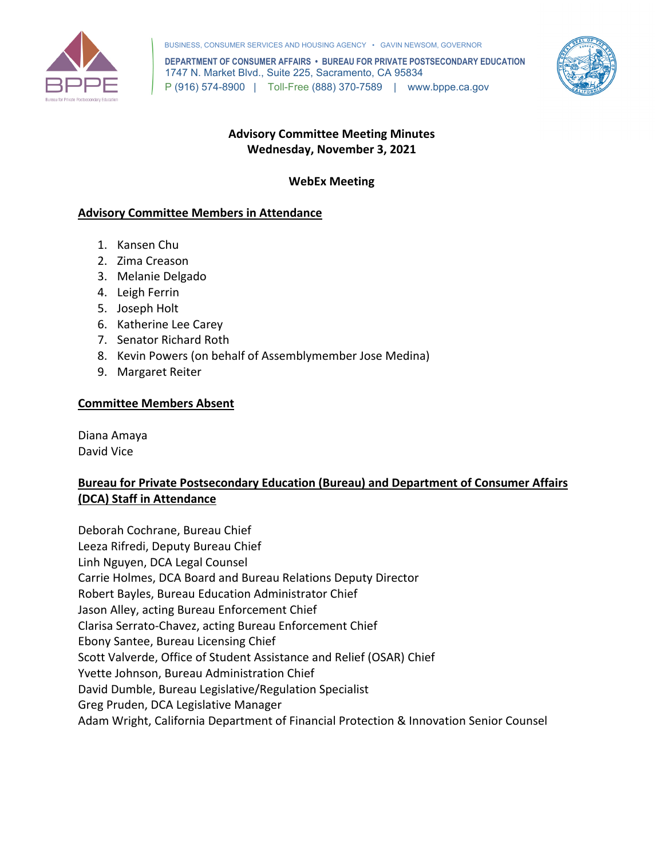

BUSINESS, CONSUMER SERVICES AND HOUSING AGENCY • GAVIN NEWSOM, GOVERNOR

 **DEPARTMENT OF CONSUMER AFFAIRS • BUREAU FOR PRIVATE POSTSECONDARY EDUCATION**  1747 N. Market Blvd., Suite 225, Sacramento, CA 95834 P (916) 574-8900 | Toll-Free (888) 370-7589 | <www.bppe.ca.gov>



## **Wednesday, November 3, 2021 Advisory Committee Meeting Minutes**

## **WebEx Meeting**

## **Advisory Committee Members in Attendance**

- 1. Kansen Chu
- 2. Zima Creason
- 3. Melanie Delgado
- 4. Leigh Ferrin
- 5. Joseph Holt
- 6. Katherine Lee Carey
- 7. Senator Richard Roth
- 8. Kevin Powers (on behalf of Assemblymember Jose Medina)
- 9. Margaret Reiter

## **Committee Members Absent**

Diana Amaya David Vice

## **Bureau for Private Postsecondary Education (Bureau) and Department of Consumer Affairs (DCA) Staff in Attendance**

Carrie Holmes, DCA Board and Bureau Relations Deputy Director<br>Robert Bayles, Bureau Education Administrator Chief Robert Bayles, Bureau Education Administrator Chief Deborah Cochrane, Bureau Chief Leeza Rifredi, Deputy Bureau Chief Linh Nguyen, DCA Legal Counsel Jason Alley, acting Bureau Enforcement Chief Clarisa Serrato-Chavez, acting Bureau Enforcement Chief Ebony Santee, Bureau Licensing Chief Scott Valverde, Office of Student Assistance and Relief (OSAR) Chief Yvette Johnson, Bureau Administration Chief David Dumble, Bureau Legislative/Regulation Specialist Greg Pruden, DCA Legislative Manager Adam Wright, California Department of Financial Protection & Innovation Senior Counsel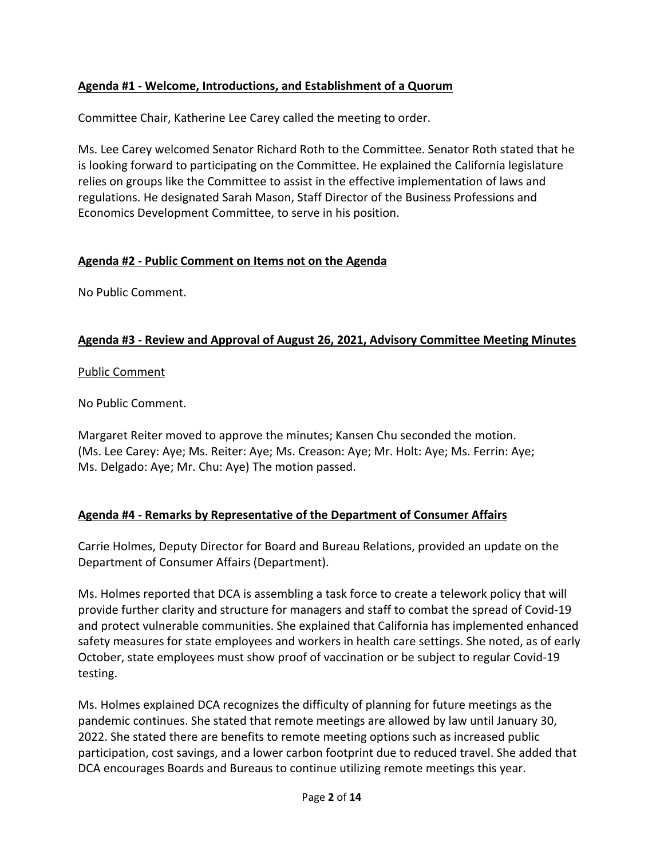## **Agenda #1 - Welcome, Introductions, and Establishment of a Quorum**

Committee Chair, Katherine Lee Carey called the meeting to order.

Ms. Lee Carey welcomed Senator Richard Roth to the Committee. Senator Roth stated that he is looking forward to participating on the Committee. He explained the California legislature relies on groups like the Committee to assist in the effective implementation of laws and regulations. He designated Sarah Mason, Staff Director of the Business Professions and Economics Development Committee, to serve in his position.

## **Agenda #2 - Public Comment on Items not on the Agenda**

No Public Comment.

## **Agenda #3 - Review and Approval of August 26, 2021, Advisory Committee Meeting Minutes**

## Public Comment

No Public Comment.

 (Ms. Lee Carey: Aye; Ms. Reiter: Aye; Ms. Creason: Aye; Mr. Holt: Aye; Ms. Ferrin: Aye; Margaret Reiter moved to approve the minutes; Kansen Chu seconded the motion. Ms. Delgado: Aye; Mr. Chu: Aye) The motion passed.

## **Agenda #4 - Remarks by Representative of the Department of Consumer Affairs**

 Carrie Holmes, Deputy Director for Board and Bureau Relations, provided an update on the Department of Consumer Affairs (Department).

testing. Ms. Holmes reported that DCA is assembling a task force to create a telework policy that will provide further clarity and structure for managers and staff to combat the spread of Covid-19 and protect vulnerable communities. She explained that California has implemented enhanced safety measures for state employees and workers in health care settings. She noted, as of early October, state employees must show proof of vaccination or be subject to regular Covid-19

Ms. Holmes explained DCA recognizes the difficulty of planning for future meetings as the pandemic continues. She stated that remote meetings are allowed by law until January 30, 2022. She stated there are benefits to remote meeting options such as increased public participation, cost savings, and a lower carbon footprint due to reduced travel. She added that DCA encourages Boards and Bureaus to continue utilizing remote meetings this year.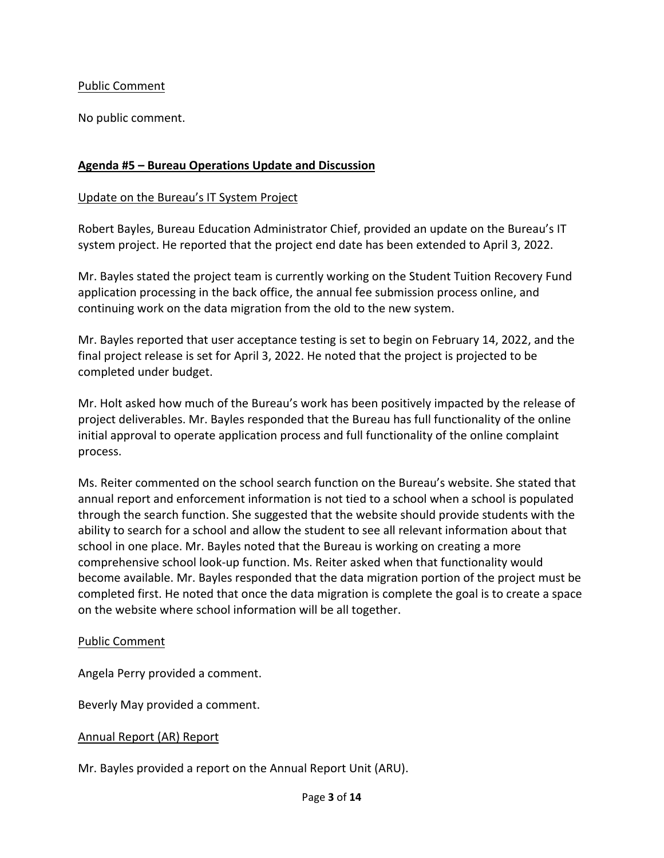### Public Comment

No public comment.

### **Agenda #5 – Bureau Operations Update and Discussion**

#### Update on the Bureau's IT System Project

Robert Bayles, Bureau Education Administrator Chief, provided an update on the Bureau's IT system project. He reported that the project end date has been extended to April 3, 2022.

Mr. Bayles stated the project team is currently working on the Student Tuition Recovery Fund application processing in the back office, the annual fee submission process online, and continuing work on the data migration from the old to the new system.

 final project release is set for April 3, 2022. He noted that the project is projected to be Mr. Bayles reported that user acceptance testing is set to begin on February 14, 2022, and the completed under budget.

 process. Mr. Holt asked how much of the Bureau's work has been positively impacted by the release of project deliverables. Mr. Bayles responded that the Bureau has full functionality of the online initial approval to operate application process and full functionality of the online complaint

 completed first. He noted that once the data migration is complete the goal is to create a space Ms. Reiter commented on the school search function on the Bureau's website. She stated that annual report and enforcement information is not tied to a school when a school is populated through the search function. She suggested that the website should provide students with the ability to search for a school and allow the student to see all relevant information about that school in one place. Mr. Bayles noted that the Bureau is working on creating a more comprehensive school look-up function. Ms. Reiter asked when that functionality would become available. Mr. Bayles responded that the data migration portion of the project must be on the website where school information will be all together.

#### Public Comment

Angela Perry provided a comment.

Beverly May provided a comment.

#### Annual Report (AR) Report

Mr. Bayles provided a report on the Annual Report Unit (ARU). Page **3** of **14**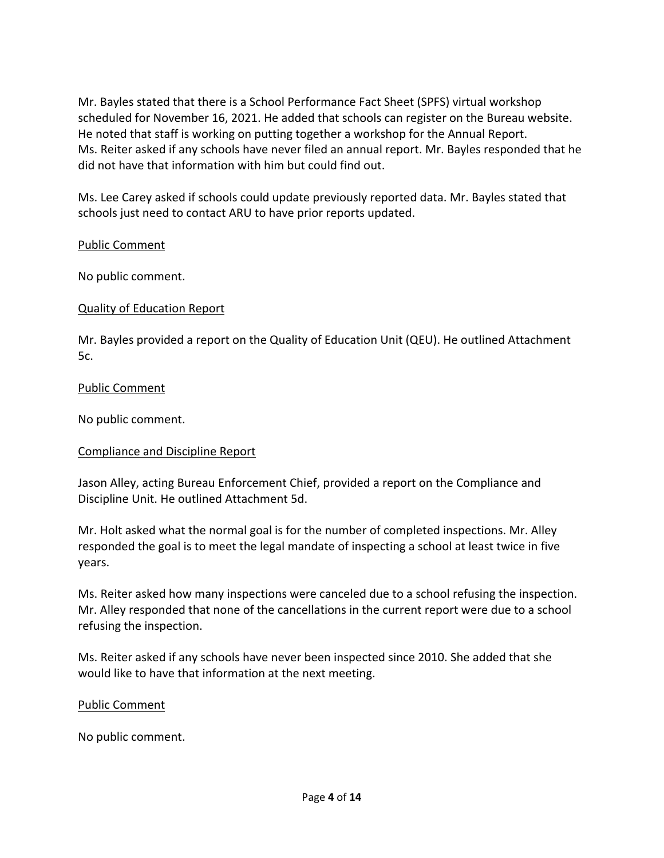did not have that information with him but could find out. Mr. Bayles stated that there is a School Performance Fact Sheet (SPFS) virtual workshop scheduled for November 16, 2021. He added that schools can register on the Bureau website. He noted that staff is working on putting together a workshop for the Annual Report. Ms. Reiter asked if any schools have never filed an annual report. Mr. Bayles responded that he

did not have that information with him but could find out.<br>Ms. Lee Carey asked if schools could update previously reported data. Mr. Bayles stated that schools just need to contact ARU to have prior reports updated.

## Public Comment

No public comment.

### Quality of Education Report

 Mr. Bayles provided a report on the Quality of Education Unit (QEU). He outlined Attachment 5c.

### Public Comment

No public comment.

## Compliance and Discipline Report

Jason Alley, acting Bureau Enforcement Chief, provided a report on the Compliance and Discipline Unit. He outlined Attachment 5d.

Mr. Holt asked what the normal goal is for the number of completed inspections. Mr. Alley responded the goal is to meet the legal mandate of inspecting a school at least twice in five years.

Ms. Reiter asked how many inspections were canceled due to a school refusing the inspection. Mr. Alley responded that none of the cancellations in the current report were due to a school refusing the inspection.

 Ms. Reiter asked if any schools have never been inspected since 2010. She added that she would like to have that information at the next meeting.

#### Public Comment

No public comment.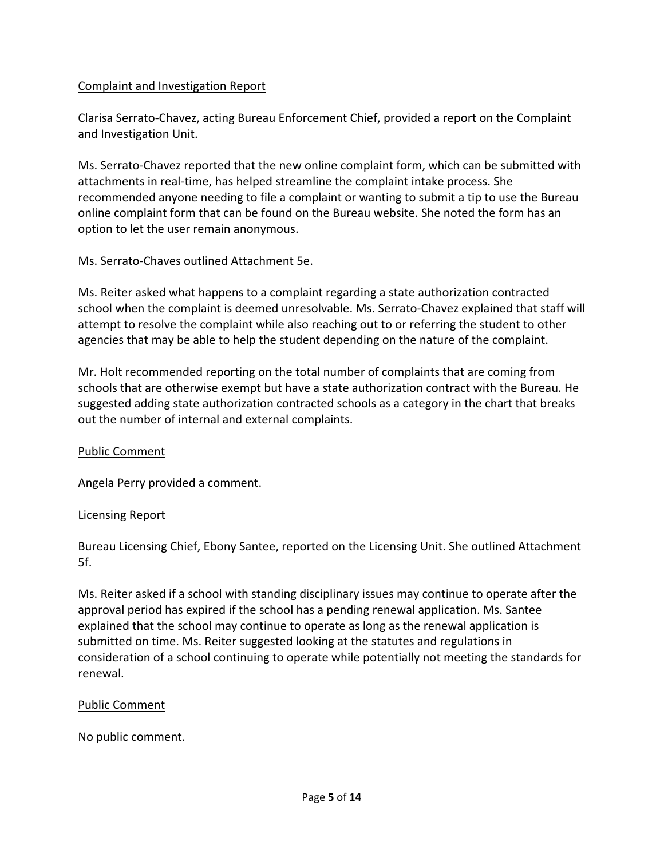## Complaint and Investigation Report

Clarisa Serrato-Chavez, acting Bureau Enforcement Chief, provided a report on the Complaint and Investigation Unit.

Ms. Serrato-Chavez reported that the new online complaint form, which can be submitted with attachments in real-time, has helped streamline the complaint intake process. She recommended anyone needing to file a complaint or wanting to submit a tip to use the Bureau online complaint form that can be found on the Bureau website. She noted the form has an option to let the user remain anonymous.

Ms. Serrato-Chaves outlined Attachment 5e.

Ms. Reiter asked what happens to a complaint regarding a state authorization contracted school when the complaint is deemed unresolvable. Ms. Serrato-Chavez explained that staff will attempt to resolve the complaint while also reaching out to or referring the student to other agencies that may be able to help the student depending on the nature of the complaint.

Mr. Holt recommended reporting on the total number of complaints that are coming from schools that are otherwise exempt but have a state authorization contract with the Bureau. He suggested adding state authorization contracted schools as a category in the chart that breaks out the number of internal and external complaints.

## Public Comment

Angela Perry provided a comment.

#### Licensing Report

 Bureau Licensing Chief, Ebony Santee, reported on the Licensing Unit. She outlined Attachment 5f.

renewal. Ms. Reiter asked if a school with standing disciplinary issues may continue to operate after the approval period has expired if the school has a pending renewal application. Ms. Santee explained that the school may continue to operate as long as the renewal application is submitted on time. Ms. Reiter suggested looking at the statutes and regulations in consideration of a school continuing to operate while potentially not meeting the standards for

## Public Comment

No public comment.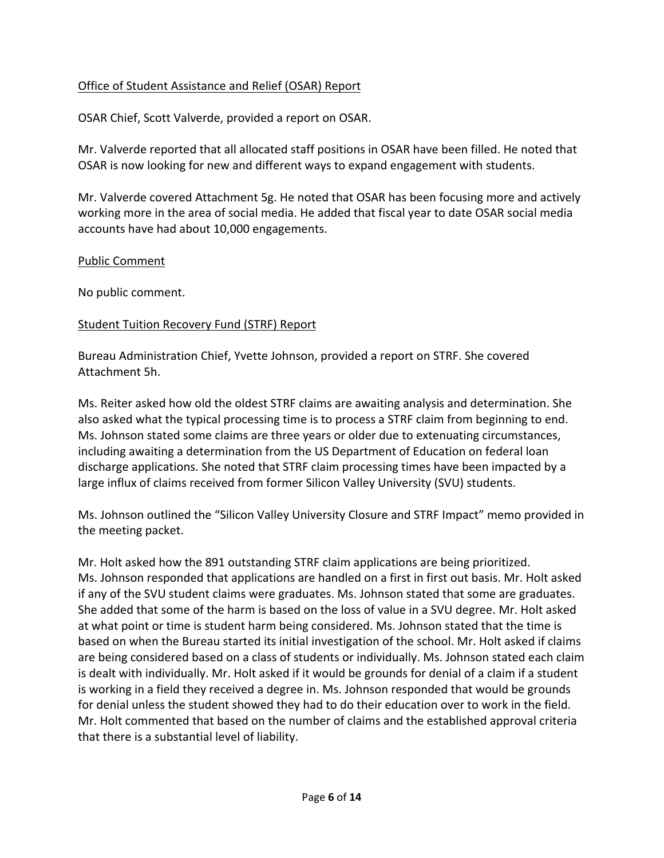## Office of Student Assistance and Relief (OSAR) Report

OSAR Chief, Scott Valverde, provided a report on OSAR.

 OSAR is now looking for new and different ways to expand engagement with students. Mr. Valverde reported that all allocated staff positions in OSAR have been filled. He noted that

 Mr. Valverde covered Attachment 5g. He noted that OSAR has been focusing more and actively working more in the area of social media. He added that fiscal year to date OSAR social media accounts have had about 10,000 engagements.

### Public Comment

No public comment.

## Student Tuition Recovery Fund (STRF) Report

Bureau Administration Chief, Yvette Johnson, provided a report on STRF. She covered Attachment 5h.

 Ms. Reiter asked how old the oldest STRF claims are awaiting analysis and determination. She also asked what the typical processing time is to process a STRF claim from beginning to end.<br>Ms. Johnson stated some claims are three years or older due to extenuating circumstances, Ms. Johnson stated some claims are three years or older due to extenuating circumstances, including awaiting a determination from the US Department of Education on federal loan discharge applications. She noted that STRF claim processing times have been impacted by a large influx of claims received from former Silicon Valley University (SVU) students.

 Ms. Johnson outlined the "Silicon Valley University Closure and STRF Impact" memo provided in the meeting packet.

 is working in a field they received a degree in. Ms. Johnson responded that would be grounds Mr. Holt asked how the 891 outstanding STRF claim applications are being prioritized. Ms. Johnson responded that applications are handled on a first in first out basis. Mr. Holt asked if any of the SVU student claims were graduates. Ms. Johnson stated that some are graduates. She added that some of the harm is based on the loss of value in a SVU degree. Mr. Holt asked at what point or time is student harm being considered. Ms. Johnson stated that the time is based on when the Bureau started its initial investigation of the school. Mr. Holt asked if claims are being considered based on a class of students or individually. Ms. Johnson stated each claim is dealt with individually. Mr. Holt asked if it would be grounds for denial of a claim if a student for denial unless the student showed they had to do their education over to work in the field. Mr. Holt commented that based on the number of claims and the established approval criteria that there is a substantial level of liability.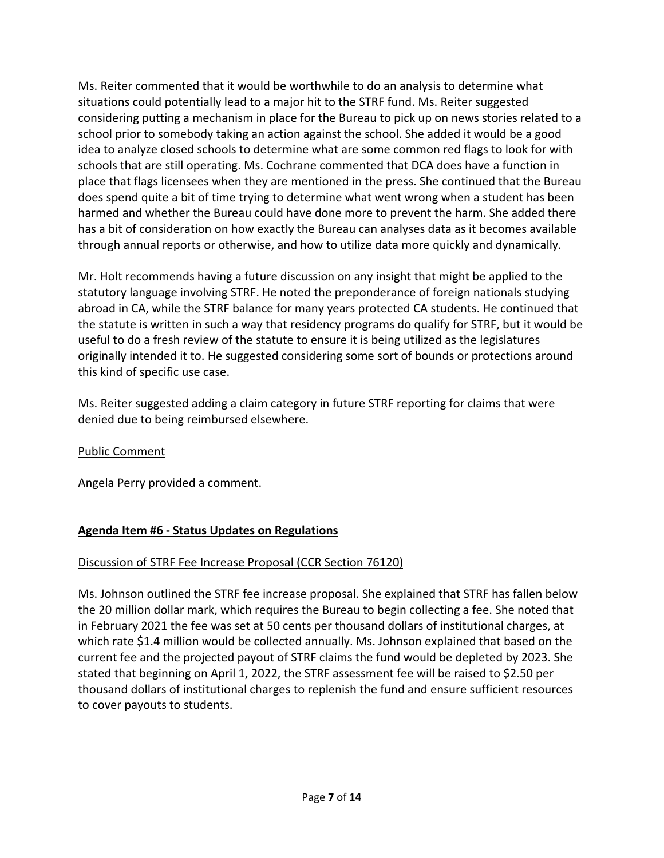considering putting a mechanism in place for the Bureau to pick up on news stories related to a harmed and whether the Bureau could have done more to prevent the harm. She added there Ms. Reiter commented that it would be worthwhile to do an analysis to determine what situations could potentially lead to a major hit to the STRF fund. Ms. Reiter suggested school prior to somebody taking an action against the school. She added it would be a good idea to analyze closed schools to determine what are some common red flags to look for with schools that are still operating. Ms. Cochrane commented that DCA does have a function in place that flags licensees when they are mentioned in the press. She continued that the Bureau does spend quite a bit of time trying to determine what went wrong when a student has been has a bit of consideration on how exactly the Bureau can analyses data as it becomes available through annual reports or otherwise, and how to utilize data more quickly and dynamically.

 statutory language involving STRF. He noted the preponderance of foreign nationals studying useful to do a fresh review of the statute to ensure it is being utilized as the legislatures this kind of specific use case. Mr. Holt recommends having a future discussion on any insight that might be applied to the abroad in CA, while the STRF balance for many years protected CA students. He continued that the statute is written in such a way that residency programs do qualify for STRF, but it would be originally intended it to. He suggested considering some sort of bounds or protections around

 Ms. Reiter suggested adding a claim category in future STRF reporting for claims that were denied due to being reimbursed elsewhere.

# Public Comment

Angela Perry provided a comment.

# **Agenda Item #6 - Status Updates on Regulations**

# Discussion of STRF Fee Increase Proposal (CCR Section 76120)

Ms. Johnson outlined the STRF fee increase proposal. She explained that STRF has fallen below the 20 million dollar mark, which requires the Bureau to begin collecting a fee. She noted that in February 2021 the fee was set at 50 cents per thousand dollars of institutional charges, at which rate \$1.4 million would be collected annually. Ms. Johnson explained that based on the current fee and the projected payout of STRF claims the fund would be depleted by 2023. She stated that beginning on April 1, 2022, the STRF assessment fee will be raised to \$2.50 per thousand dollars of institutional charges to replenish the fund and ensure sufficient resources to cover payouts to students.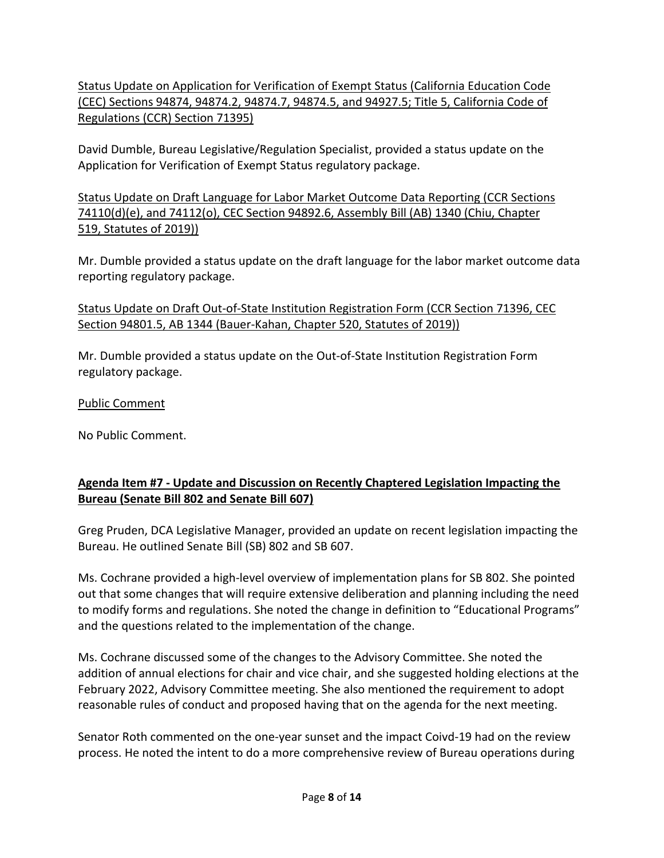(CEC) Sections 94874, 94874.2, 94874.7, 94874.5, and 94927.5; Title 5, California Code of Status Update on Application for Verification of Exempt Status (California Education Code Regulations (CCR) Section 71395)

David Dumble, Bureau Legislative/Regulation Specialist, provided a status update on the Application for Verification of Exempt Status regulatory package.

Status Update on Draft Language for Labor Market Outcome Data Reporting (CCR Sections 74110(d)(e), and 74112(o), CEC Section 94892.6, Assembly Bill (AB) 1340 (Chiu, Chapter 519, Statutes of 2019))

 Mr. Dumble provided a status update on the draft language for the labor market outcome data reporting regulatory package.

Status Update on Draft Out-of-State Institution Registration Form (CCR Section 71396, CEC Section 94801.5, AB 1344 (Bauer-Kahan, Chapter 520, Statutes of 2019))

Mr. Dumble provided a status update on the Out-of-State Institution Registration Form regulatory package.

Public Comment

No Public Comment.

## **Agenda Item #7 - Update and Discussion on Recently Chaptered Legislation Impacting the Bureau (Senate Bill 802 and Senate Bill 607)**

Greg Pruden, DCA Legislative Manager, provided an update on recent legislation impacting the Bureau. He outlined Senate Bill (SB) 802 and SB 607.

 to modify forms and regulations. She noted the change in definition to "Educational Programs" Ms. Cochrane provided a high-level overview of implementation plans for SB 802. She pointed out that some changes that will require extensive deliberation and planning including the need and the questions related to the implementation of the change.

 Ms. Cochrane discussed some of the changes to the Advisory Committee. She noted the addition of annual elections for chair and vice chair, and she suggested holding elections at the February 2022, Advisory Committee meeting. She also mentioned the requirement to adopt reasonable rules of conduct and proposed having that on the agenda for the next meeting.

 process. He noted the intent to do a more comprehensive review of Bureau operations during Senator Roth commented on the one-year sunset and the impact Coivd-19 had on the review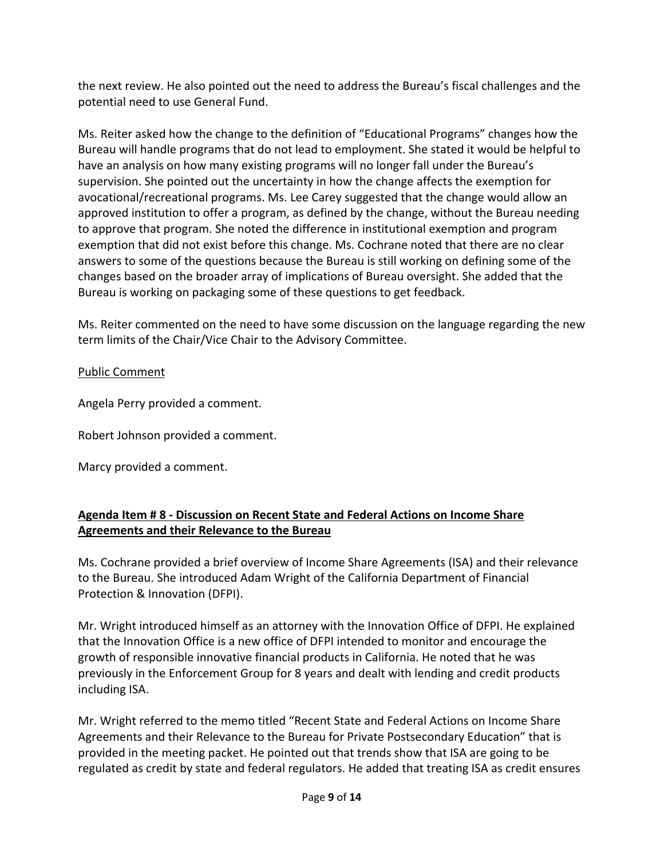the next review. He also pointed out the need to address the Bureau's fiscal challenges and the potential need to use General Fund.

 Ms. Reiter asked how the change to the definition of "Educational Programs" changes how the approved institution to offer a program, as defined by the change, without the Bureau needing answers to some of the questions because the Bureau is still working on defining some of the Bureau will handle programs that do not lead to employment. She stated it would be helpful to have an analysis on how many existing programs will no longer fall under the Bureau's supervision. She pointed out the uncertainty in how the change affects the exemption for avocational/recreational programs. Ms. Lee Carey suggested that the change would allow an to approve that program. She noted the difference in institutional exemption and program exemption that did not exist before this change. Ms. Cochrane noted that there are no clear changes based on the broader array of implications of Bureau oversight. She added that the Bureau is working on packaging some of these questions to get feedback.

 Ms. Reiter commented on the need to have some discussion on the language regarding the new term limits of the Chair/Vice Chair to the Advisory Committee.

## Public Comment

Angela Perry provided a comment.

Robert Johnson provided a comment.

Marcy provided a comment.

## **Agenda Item # 8 - Discussion on Recent State and Federal Actions on Income Share Agreements and their Relevance to the Bureau**

 Ms. Cochrane provided a brief overview of Income Share Agreements (ISA) and their relevance to the Bureau. She introduced Adam Wright of the California Department of Financial Protection & Innovation (DFPI).

Mr. Wright introduced himself as an attorney with the Innovation Office of DFPI. He explained that the Innovation Office is a new office of DFPI intended to monitor and encourage the growth of responsible innovative financial products in California. He noted that he was previously in the Enforcement Group for 8 years and dealt with lending and credit products including ISA.

 provided in the meeting packet. He pointed out that trends show that ISA are going to be Mr. Wright referred to the memo titled "Recent State and Federal Actions on Income Share Agreements and their Relevance to the Bureau for Private Postsecondary Education" that is regulated as credit by state and federal regulators. He added that treating ISA as credit ensures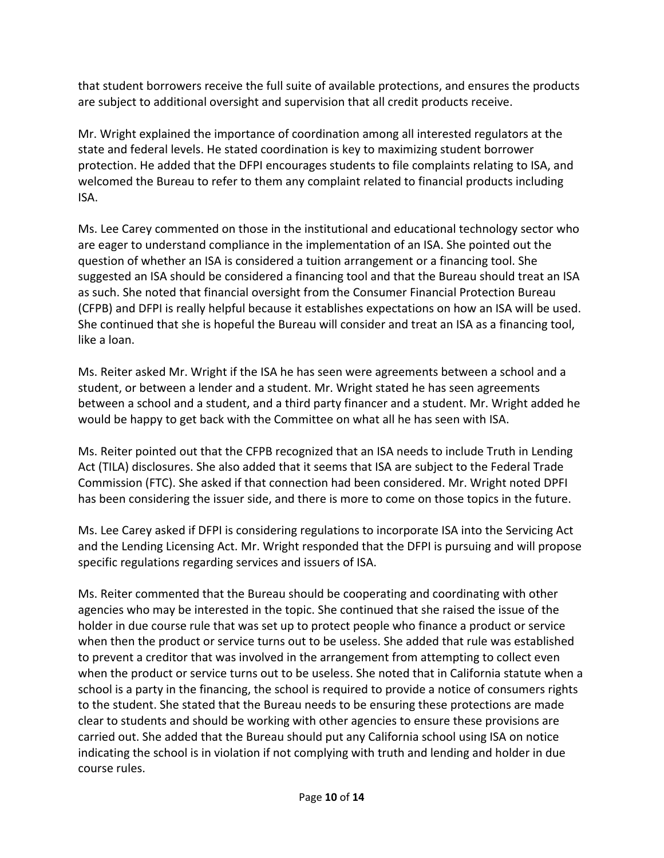that student borrowers receive the full suite of available protections, and ensures the products are subject to additional oversight and supervision that all credit products receive.

 protection. He added that the DFPI encourages students to file complaints relating to ISA, and Mr. Wright explained the importance of coordination among all interested regulators at the state and federal levels. He stated coordination is key to maximizing student borrower welcomed the Bureau to refer to them any complaint related to financial products including ISA.

 Ms. Lee Carey commented on those in the institutional and educational technology sector who are eager to understand compliance in the implementation of an ISA. She pointed out the (CFPB) and DFPI is really helpful because it establishes expectations on how an ISA will be used. question of whether an ISA is considered a tuition arrangement or a financing tool. She suggested an ISA should be considered a financing tool and that the Bureau should treat an ISA as such. She noted that financial oversight from the Consumer Financial Protection Bureau She continued that she is hopeful the Bureau will consider and treat an ISA as a financing tool, like a loan.

Ms. Reiter asked Mr. Wright if the ISA he has seen were agreements between a school and a student, or between a lender and a student. Mr. Wright stated he has seen agreements between a school and a student, and a third party financer and a student. Mr. Wright added he would be happy to get back with the Committee on what all he has seen with ISA.

Ms. Reiter pointed out that the CFPB recognized that an ISA needs to include Truth in Lending Act (TILA) disclosures. She also added that it seems that ISA are subject to the Federal Trade Commission (FTC). She asked if that connection had been considered. Mr. Wright noted DPFI has been considering the issuer side, and there is more to come on those topics in the future.

 Ms. Lee Carey asked if DFPI is considering regulations to incorporate ISA into the Servicing Act specific regulations regarding services and issuers of ISA. and the Lending Licensing Act. Mr. Wright responded that the DFPI is pursuing and will propose

 school is a party in the financing, the school is required to provide a notice of consumers rights to the student. She stated that the Bureau needs to be ensuring these protections are made Ms. Reiter commented that the Bureau should be cooperating and coordinating with other agencies who may be interested in the topic. She continued that she raised the issue of the holder in due course rule that was set up to protect people who finance a product or service when then the product or service turns out to be useless. She added that rule was established to prevent a creditor that was involved in the arrangement from attempting to collect even when the product or service turns out to be useless. She noted that in California statute when a clear to students and should be working with other agencies to ensure these provisions are carried out. She added that the Bureau should put any California school using ISA on notice indicating the school is in violation if not complying with truth and lending and holder in due course rules.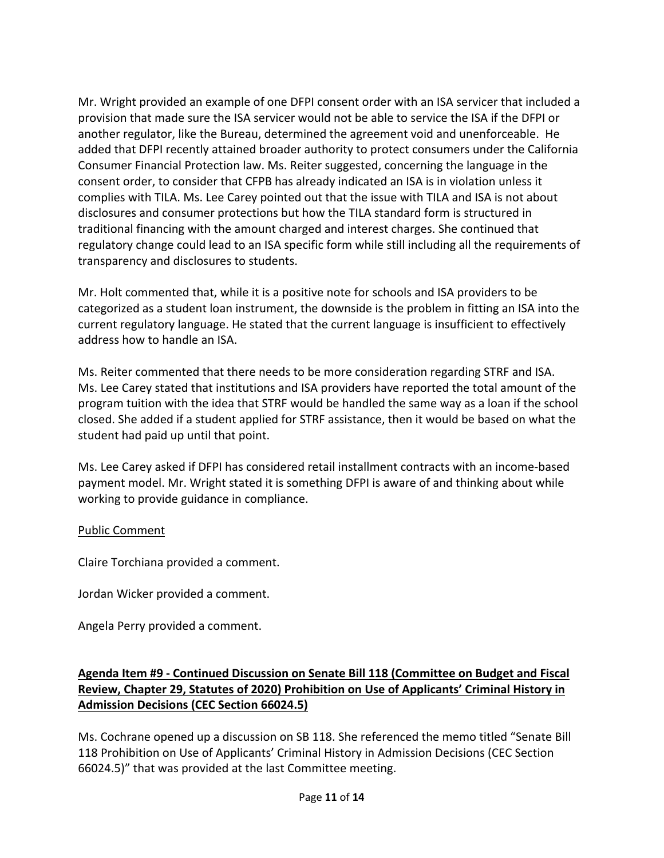Mr. Wright provided an example of one DFPI consent order with an ISA servicer that included a consent order, to consider that CFPB has already indicated an ISA is in violation unless it complies with TILA. Ms. Lee Carey pointed out that the issue with TILA and ISA is not about provision that made sure the ISA servicer would not be able to service the ISA if the DFPI or another regulator, like the Bureau, determined the agreement void and unenforceable. He added that DFPI recently attained broader authority to protect consumers under the California Consumer Financial Protection law. Ms. Reiter suggested, concerning the language in the disclosures and consumer protections but how the TILA standard form is structured in traditional financing with the amount charged and interest charges. She continued that regulatory change could lead to an ISA specific form while still including all the requirements of transparency and disclosures to students.

 current regulatory language. He stated that the current language is insufficient to effectively Mr. Holt commented that, while it is a positive note for schools and ISA providers to be categorized as a student loan instrument, the downside is the problem in fitting an ISA into the address how to handle an ISA.

 Ms. Lee Carey stated that institutions and ISA providers have reported the total amount of the Ms. Reiter commented that there needs to be more consideration regarding STRF and ISA. program tuition with the idea that STRF would be handled the same way as a loan if the school closed. She added if a student applied for STRF assistance, then it would be based on what the student had paid up until that point.

 Ms. Lee Carey asked if DFPI has considered retail installment contracts with an income-based payment model. Mr. Wright stated it is something DFPI is aware of and thinking about while working to provide guidance in compliance.

## Public Comment

Claire Torchiana provided a comment.

Jordan Wicker provided a comment.

Angela Perry provided a comment.

# **Agenda Item #9 - Continued Discussion on Senate Bill 118 (Committee on Budget and Fiscal Review, Chapter 29, Statutes of 2020) Prohibition on Use of Applicants' Criminal History in Admission Decisions (CEC Section 66024.5)**

Ms. Cochrane opened up a discussion on SB 118. She referenced the memo titled "Senate Bill 118 Prohibition on Use of Applicants' Criminal History in Admission Decisions (CEC Section 66024.5)" that was provided at the last Committee meeting.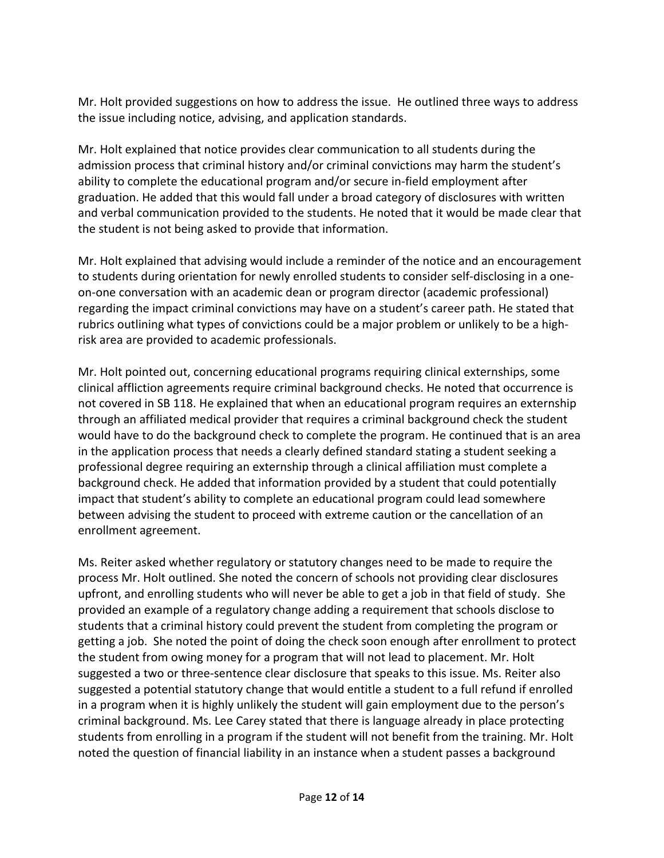Mr. Holt provided suggestions on how to address the issue. He outlined three ways to address the issue including notice, advising, and application standards.

Mr. Holt explained that notice provides clear communication to all students during the admission process that criminal history and/or criminal convictions may harm the student's ability to complete the educational program and/or secure in-field employment after graduation. He added that this would fall under a broad category of disclosures with written and verbal communication provided to the students. He noted that it would be made clear that the student is not being asked to provide that information.

Mr. Holt explained that advising would include a reminder of the notice and an encouragement to students during orientation for newly enrolled students to consider self-disclosing in a oneon-one conversation with an academic dean or program director (academic professional) regarding the impact criminal convictions may have on a student's career path. He stated that rubrics outlining what types of convictions could be a major problem or unlikely to be a highrisk area are provided to academic professionals.

 background check. He added that information provided by a student that could potentially between advising the student to proceed with extreme caution or the cancellation of an Mr. Holt pointed out, concerning educational programs requiring clinical externships, some clinical affliction agreements require criminal background checks. He noted that occurrence is not covered in SB 118. He explained that when an educational program requires an externship through an affiliated medical provider that requires a criminal background check the student would have to do the background check to complete the program. He continued that is an area in the application process that needs a clearly defined standard stating a student seeking a professional degree requiring an externship through a clinical affiliation must complete a impact that student's ability to complete an educational program could lead somewhere enrollment agreement.

 Ms. Reiter asked whether regulatory or statutory changes need to be made to require the upfront, and enrolling students who will never be able to get a job in that field of study. She suggested a potential statutory change that would entitle a student to a full refund if enrolled criminal background. Ms. Lee Carey stated that there is language already in place protecting noted the question of financial liability in an instance when a student passes a background process Mr. Holt outlined. She noted the concern of schools not providing clear disclosures provided an example of a regulatory change adding a requirement that schools disclose to students that a criminal history could prevent the student from completing the program or getting a job. She noted the point of doing the check soon enough after enrollment to protect the student from owing money for a program that will not lead to placement. Mr. Holt suggested a two or three-sentence clear disclosure that speaks to this issue. Ms. Reiter also in a program when it is highly unlikely the student will gain employment due to the person's students from enrolling in a program if the student will not benefit from the training. Mr. Holt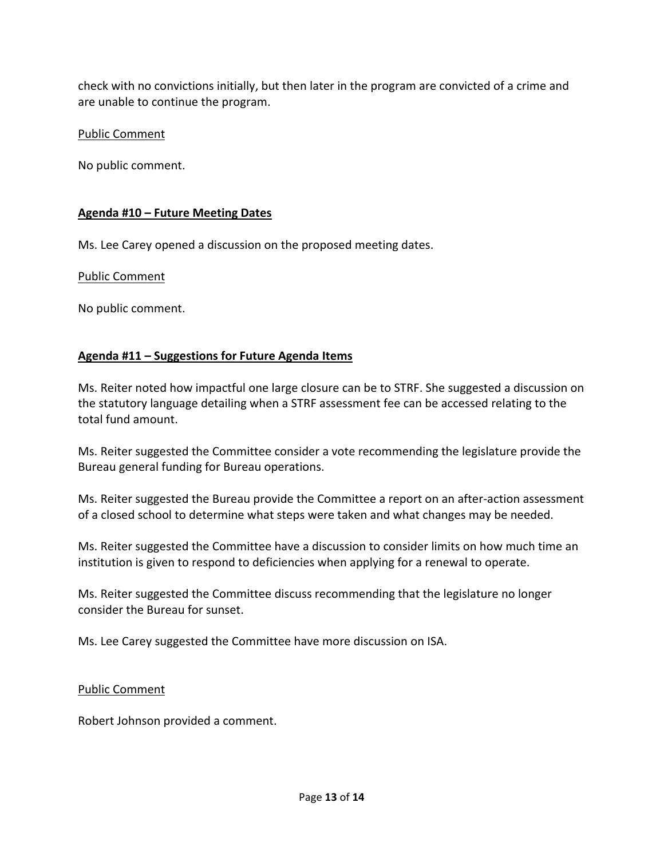check with no convictions initially, but then later in the program are convicted of a crime and are unable to continue the program.

## Public Comment

No public comment.

## **Agenda #10 – Future Meeting Dates**

Ms. Lee Carey opened a discussion on the proposed meeting dates.

## Public Comment

No public comment.

## **Agenda #11 – Suggestions for Future Agenda Items**

Ms. Reiter noted how impactful one large closure can be to STRF. She suggested a discussion on the statutory language detailing when a STRF assessment fee can be accessed relating to the total fund amount.

 Ms. Reiter suggested the Committee consider a vote recommending the legislature provide the Bureau general funding for Bureau operations.

Ms. Reiter suggested the Bureau provide the Committee a report on an after-action assessment of a closed school to determine what steps were taken and what changes may be needed.

institution is given to respond to deficiencies when applying for a renewal to operate. Ms. Reiter suggested the Committee have a discussion to consider limits on how much time an

Ms. Reiter suggested the Committee discuss recommending that the legislature no longer consider the Bureau for sunset.

Ms. Lee Carey suggested the Committee have more discussion on ISA.

## Public Comment

Robert Johnson provided a comment.